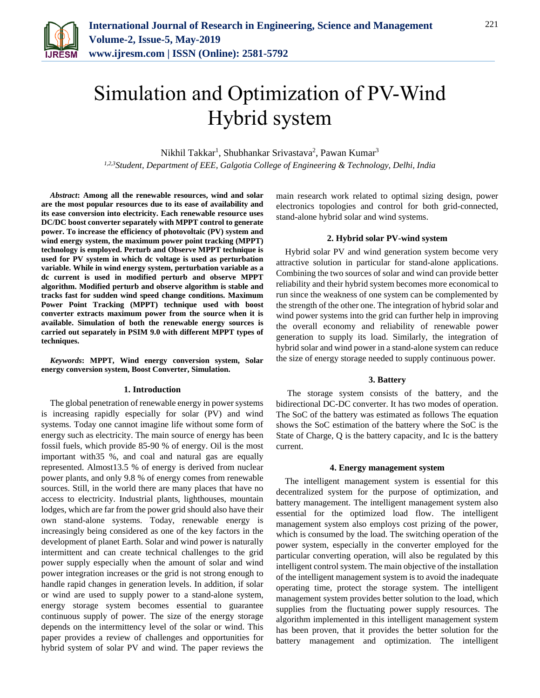

# Simulation and Optimization of PV-Wind Hybrid system

Nikhil Takkar<sup>1</sup>, Shubhankar Srivastava<sup>2</sup>, Pawan Kumar<sup>3</sup>

*1,2,3Student, Department of EEE, Galgotia College of Engineering & Technology, Delhi, India*

*Abstract***: Among all the renewable resources, wind and solar are the most popular resources due to its ease of availability and its ease conversion into electricity. Each renewable resource uses DC/DC boost converter separately with MPPT control to generate power. To increase the efficiency of photovoltaic (PV) system and wind energy system, the maximum power point tracking (MPPT) technology is employed. Perturb and Observe MPPT technique is used for PV system in which dc voltage is used as perturbation variable. While in wind energy system, perturbation variable as a dc current is used in modified perturb and observe MPPT algorithm. Modified perturb and observe algorithm is stable and tracks fast for sudden wind speed change conditions. Maximum Power Point Tracking (MPPT) technique used with boost converter extracts maximum power from the source when it is available. Simulation of both the renewable energy sources is carried out separately in PSIM 9.0 with different MPPT types of techniques.**

*Keywords***: MPPT, Wind energy conversion system, Solar energy conversion system, Boost Converter, Simulation.**

# **1. Introduction**

The global penetration of renewable energy in power systems is increasing rapidly especially for solar (PV) and wind systems. Today one cannot imagine life without some form of energy such as electricity. The main source of energy has been fossil fuels, which provide 85-90 % of energy. Oil is the most important with35 %, and coal and natural gas are equally represented. Almost13.5 % of energy is derived from nuclear power plants, and only 9.8 % of energy comes from renewable sources. Still, in the world there are many places that have no access to electricity. Industrial plants, lighthouses, mountain lodges, which are far from the power grid should also have their own stand-alone systems. Today, renewable energy is increasingly being considered as one of the key factors in the development of planet Earth. Solar and wind power is naturally intermittent and can create technical challenges to the grid power supply especially when the amount of solar and wind power integration increases or the grid is not strong enough to handle rapid changes in generation levels. In addition, if solar or wind are used to supply power to a stand-alone system, energy storage system becomes essential to guarantee continuous supply of power. The size of the energy storage depends on the intermittency level of the solar or wind. This paper provides a review of challenges and opportunities for hybrid system of solar PV and wind. The paper reviews the

main research work related to optimal sizing design, power electronics topologies and control for both grid-connected, stand-alone hybrid solar and wind systems.

# **2. Hybrid solar PV-wind system**

Hybrid solar PV and wind generation system become very attractive solution in particular for stand-alone applications. Combining the two sources of solar and wind can provide better reliability and their hybrid system becomes more economical to run since the weakness of one system can be complemented by the strength of the other one. The integration of hybrid solar and wind power systems into the grid can further help in improving the overall economy and reliability of renewable power generation to supply its load. Similarly, the integration of hybrid solar and wind power in a stand-alone system can reduce the size of energy storage needed to supply continuous power.

# **3. Battery**

The storage system consists of the battery, and the bidirectional DC-DC converter. It has two modes of operation. The SoC of the battery was estimated as follows The equation shows the SoC estimation of the battery where the SoC is the State of Charge, Q is the battery capacity, and Ic is the battery current.

# **4. Energy management system**

The intelligent management system is essential for this decentralized system for the purpose of optimization, and battery management. The intelligent management system also essential for the optimized load flow. The intelligent management system also employs cost prizing of the power, which is consumed by the load. The switching operation of the power system, especially in the converter employed for the particular converting operation, will also be regulated by this intelligent control system. The main objective of the installation of the intelligent management system is to avoid the inadequate operating time, protect the storage system. The intelligent management system provides better solution to the load, which supplies from the fluctuating power supply resources. The algorithm implemented in this intelligent management system has been proven, that it provides the better solution for the battery management and optimization. The intelligent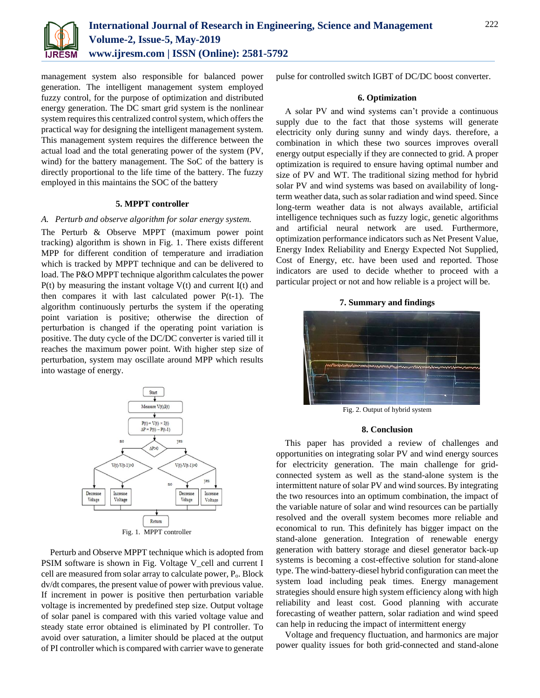

management system also responsible for balanced power generation. The intelligent management system employed fuzzy control, for the purpose of optimization and distributed energy generation. The DC smart grid system is the nonlinear system requires this centralized control system, which offers the practical way for designing the intelligent management system. This management system requires the difference between the actual load and the total generating power of the system (PV, wind) for the battery management. The SoC of the battery is directly proportional to the life time of the battery. The fuzzy employed in this maintains the SOC of the battery

# **5. MPPT controller**

# *A. Perturb and observe algorithm for solar energy system.*

The Perturb & Observe MPPT (maximum power point tracking) algorithm is shown in Fig. 1. There exists different MPP for different condition of temperature and irradiation which is tracked by MPPT technique and can be delivered to load. The P&O MPPT technique algorithm calculates the power  $P(t)$  by measuring the instant voltage  $V(t)$  and current  $I(t)$  and then compares it with last calculated power P(t-1). The algorithm continuously perturbs the system if the operating point variation is positive; otherwise the direction of perturbation is changed if the operating point variation is positive. The duty cycle of the DC/DC converter is varied till it reaches the maximum power point. With higher step size of perturbation, system may oscillate around MPP which results into wastage of energy.



Perturb and Observe MPPT technique which is adopted from PSIM software is shown in Fig. Voltage V\_cell and current I cell are measured from solar array to calculate power, Po. Block dv/dt compares, the present value of power with previous value. If increment in power is positive then perturbation variable voltage is incremented by predefined step size. Output voltage of solar panel is compared with this varied voltage value and steady state error obtained is eliminated by PI controller. To avoid over saturation, a limiter should be placed at the output of PI controller which is compared with carrier wave to generate

pulse for controlled switch IGBT of DC/DC boost converter.

# **6. Optimization**

A solar PV and wind systems can't provide a continuous supply due to the fact that those systems will generate electricity only during sunny and windy days. therefore, a combination in which these two sources improves overall energy output especially if they are connected to grid. A proper optimization is required to ensure having optimal number and size of PV and WT. The traditional sizing method for hybrid solar PV and wind systems was based on availability of longterm weather data, such as solar radiation and wind speed. Since long-term weather data is not always available, artificial intelligence techniques such as fuzzy logic, genetic algorithms and artificial neural network are used. Furthermore, optimization performance indicators such as Net Present Value, Energy Index Reliability and Energy Expected Not Supplied, Cost of Energy, etc. have been used and reported. Those indicators are used to decide whether to proceed with a particular project or not and how reliable is a project will be.





Fig. 2. Output of hybrid system

#### **8. Conclusion**

This paper has provided a review of challenges and opportunities on integrating solar PV and wind energy sources for electricity generation. The main challenge for gridconnected system as well as the stand-alone system is the intermittent nature of solar PV and wind sources. By integrating the two resources into an optimum combination, the impact of the variable nature of solar and wind resources can be partially resolved and the overall system becomes more reliable and economical to run. This definitely has bigger impact on the stand-alone generation. Integration of renewable energy generation with battery storage and diesel generator back-up systems is becoming a cost-effective solution for stand-alone type. The wind-battery-diesel hybrid configuration can meet the system load including peak times. Energy management strategies should ensure high system efficiency along with high reliability and least cost. Good planning with accurate forecasting of weather pattern, solar radiation and wind speed can help in reducing the impact of intermittent energy

Voltage and frequency fluctuation, and harmonics are major power quality issues for both grid-connected and stand-alone